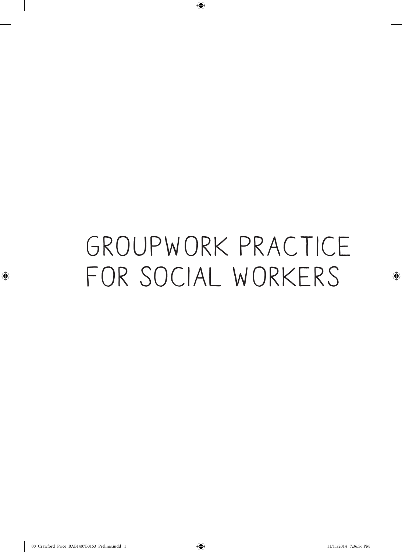# Groupwork Practice for Social Workers

 $\bigoplus$ 

 $\bigoplus$ 

 $\bigoplus$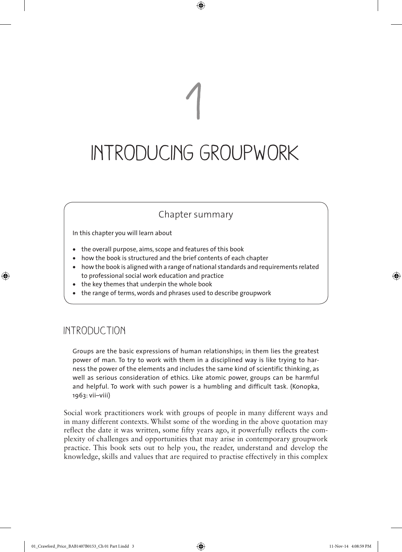1

 $\bigoplus$ 

#### Chapter summary

In this chapter you will learn about

- the overall purpose, aims, scope and features of this book
- how the book is structured and the brief contents of each chapter
- how the book is aligned with a range of national standards and requirements related to professional social work education and practice
- the key themes that underpin the whole book
- the range of terms, words and phrases used to describe groupwork

#### INTRODUCTION

♠

Groups are the basic expressions of human relationships; in them lies the greatest power of man. To try to work with them in a disciplined way is like trying to harness the power of the elements and includes the same kind of scientific thinking, as well as serious consideration of ethics. Like atomic power, groups can be harmful and helpful. To work with such power is a humbling and difficult task. (Konopka, 1963: vii–viii)

Social work practitioners work with groups of people in many different ways and in many different contexts. Whilst some of the wording in the above quotation may reflect the date it was written, some fifty years ago, it powerfully reflects the complexity of challenges and opportunities that may arise in contemporary groupwork practice. This book sets out to help you, the reader, understand and develop the knowledge, skills and values that are required to practise effectively in this complex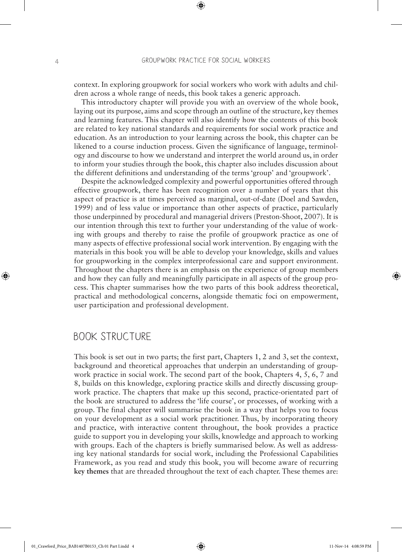⊕

context. In exploring groupwork for social workers who work with adults and children across a whole range of needs, this book takes a generic approach.

This introductory chapter will provide you with an overview of the whole book, laying out its purpose, aims and scope through an outline of the structure, key themes and learning features. This chapter will also identify how the contents of this book are related to key national standards and requirements for social work practice and education. As an introduction to your learning across the book, this chapter can be likened to a course induction process. Given the significance of language, terminology and discourse to how we understand and interpret the world around us, in order to inform your studies through the book, this chapter also includes discussion about the different definitions and understanding of the terms 'group' and 'groupwork'.

Despite the acknowledged complexity and powerful opportunities offered through effective groupwork, there has been recognition over a number of years that this aspect of practice is at times perceived as marginal, out-of-date (Doel and Sawden, 1999) and of less value or importance than other aspects of practice, particularly those underpinned by procedural and managerial drivers (Preston-Shoot, 2007). It is our intention through this text to further your understanding of the value of working with groups and thereby to raise the profile of groupwork practice as one of many aspects of effective professional social work intervention. By engaging with the materials in this book you will be able to develop your knowledge, skills and values for groupworking in the complex interprofessional care and support environment. Throughout the chapters there is an emphasis on the experience of group members and how they can fully and meaningfully participate in all aspects of the group process. This chapter summarises how the two parts of this book address theoretical, practical and methodological concerns, alongside thematic foci on empowerment, user participation and professional development.

#### BOOK STRUCTURE

This book is set out in two parts; the first part, Chapters 1, 2 and 3, set the context, background and theoretical approaches that underpin an understanding of groupwork practice in social work. The second part of the book, Chapters 4, 5, 6, 7 and 8, builds on this knowledge, exploring practice skills and directly discussing groupwork practice. The chapters that make up this second, practice-orientated part of the book are structured to address the 'life course', or processes, of working with a group. The final chapter will summarise the book in a way that helps you to focus on your development as a social work practitioner. Thus, by incorporating theory and practice, with interactive content throughout, the book provides a practice guide to support you in developing your skills, knowledge and approach to working with groups. Each of the chapters is briefly summarised below. As well as addressing key national standards for social work, including the Professional Capabilities Framework, as you read and study this book, you will become aware of recurring **key themes** that are threaded throughout the text of each chapter. These themes are:

♠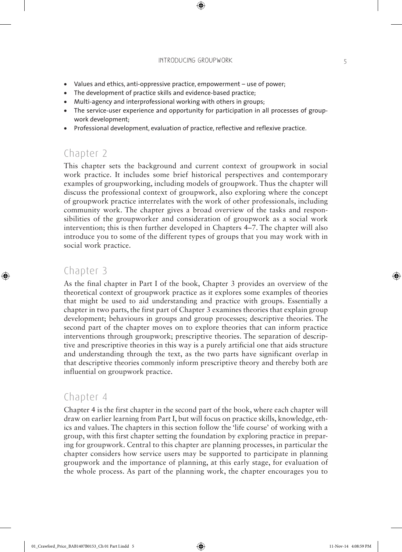⊕

- Values and ethics, anti-oppressive practice, empowerment use of power;
- The development of practice skills and evidence-based practice;
- Multi-agency and interprofessional working with others in groups;
- The service-user experience and opportunity for participation in all processes of groupwork development;
- Professional development, evaluation of practice, reflective and reflexive practice.

## Chapter 2

This chapter sets the background and current context of groupwork in social work practice. It includes some brief historical perspectives and contemporary examples of groupworking, including models of groupwork. Thus the chapter will discuss the professional context of groupwork, also exploring where the concept of groupwork practice interrelates with the work of other professionals, including community work. The chapter gives a broad overview of the tasks and responsibilities of the groupworker and consideration of groupwork as a social work intervention; this is then further developed in Chapters 4–7. The chapter will also introduce you to some of the different types of groups that you may work with in social work practice.

## Chapter 3

♠

As the final chapter in Part I of the book, Chapter 3 provides an overview of the theoretical context of groupwork practice as it explores some examples of theories that might be used to aid understanding and practice with groups. Essentially a chapter in two parts, the first part of Chapter 3 examines theories that explain group development; behaviours in groups and group processes; descriptive theories. The second part of the chapter moves on to explore theories that can inform practice interventions through groupwork; prescriptive theories. The separation of descriptive and prescriptive theories in this way is a purely artificial one that aids structure and understanding through the text, as the two parts have significant overlap in that descriptive theories commonly inform prescriptive theory and thereby both are influential on groupwork practice.

#### Chapter 4

Chapter 4 is the first chapter in the second part of the book, where each chapter will draw on earlier learning from Part I, but will focus on practice skills, knowledge, ethics and values. The chapters in this section follow the 'life course' of working with a group, with this first chapter setting the foundation by exploring practice in preparing for groupwork. Central to this chapter are planning processes, in particular the chapter considers how service users may be supported to participate in planning groupwork and the importance of planning, at this early stage, for evaluation of the whole process. As part of the planning work, the chapter encourages you to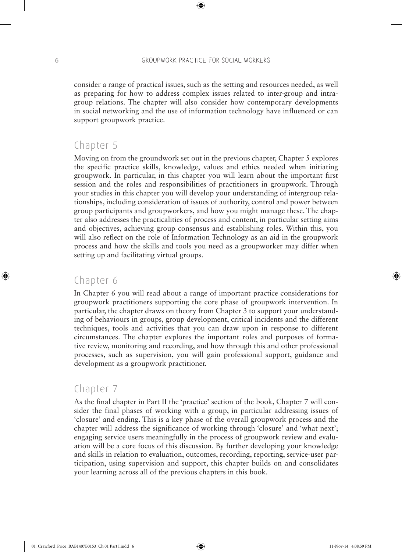⊕

consider a range of practical issues, such as the setting and resources needed, as well as preparing for how to address complex issues related to inter-group and intragroup relations. The chapter will also consider how contemporary developments in social networking and the use of information technology have influenced or can support groupwork practice.

## Chapter 5

Moving on from the groundwork set out in the previous chapter, Chapter 5 explores the specific practice skills, knowledge, values and ethics needed when initiating groupwork. In particular, in this chapter you will learn about the important first session and the roles and responsibilities of practitioners in groupwork. Through your studies in this chapter you will develop your understanding of intergroup relationships, including consideration of issues of authority, control and power between group participants and groupworkers, and how you might manage these. The chapter also addresses the practicalities of process and content, in particular setting aims and objectives, achieving group consensus and establishing roles. Within this, you will also reflect on the role of Information Technology as an aid in the groupwork process and how the skills and tools you need as a groupworker may differ when setting up and facilitating virtual groups.

#### Chapter 6

♠

In Chapter 6 you will read about a range of important practice considerations for groupwork practitioners supporting the core phase of groupwork intervention. In particular, the chapter draws on theory from Chapter 3 to support your understanding of behaviours in groups, group development, critical incidents and the different techniques, tools and activities that you can draw upon in response to different circumstances. The chapter explores the important roles and purposes of formative review, monitoring and recording, and how through this and other professional processes, such as supervision, you will gain professional support, guidance and development as a groupwork practitioner.

## Chapter 7

As the final chapter in Part II the 'practice' section of the book, Chapter 7 will consider the final phases of working with a group, in particular addressing issues of 'closure' and ending. This is a key phase of the overall groupwork process and the chapter will address the significance of working through 'closure' and 'what next'; engaging service users meaningfully in the process of groupwork review and evaluation will be a core focus of this discussion. By further developing your knowledge and skills in relation to evaluation, outcomes, recording, reporting, service-user participation, using supervision and support, this chapter builds on and consolidates your learning across all of the previous chapters in this book.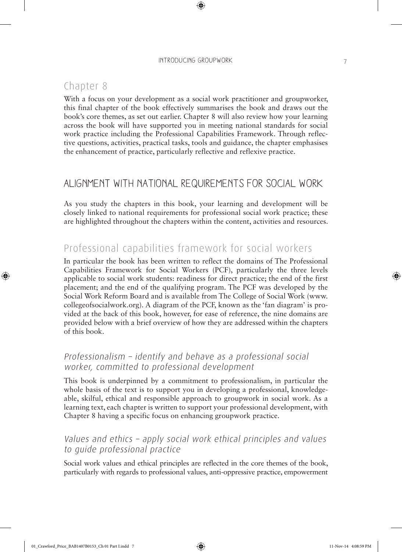## Chapter 8

♠

With a focus on your development as a social work practitioner and groupworker, this final chapter of the book effectively summarises the book and draws out the book's core themes, as set out earlier. Chapter 8 will also review how your learning across the book will have supported you in meeting national standards for social work practice including the Professional Capabilities Framework. Through reflective questions, activities, practical tasks, tools and guidance, the chapter emphasises the enhancement of practice, particularly reflective and reflexive practice.

#### ALIGNMENT WITH NATIONAL REQUIREMENTS FOR SOCIAL WORK

As you study the chapters in this book, your learning and development will be closely linked to national requirements for professional social work practice; these are highlighted throughout the chapters within the content, activities and resources.

## Professional capabilities framework for social workers

In particular the book has been written to reflect the domains of The Professional Capabilities Framework for Social Workers (PCF), particularly the three levels applicable to social work students: readiness for direct practice; the end of the first placement; and the end of the qualifying program. The PCF was developed by the Social Work Reform Board and is available from The College of Social Work (www. collegeofsocialwork.org). A diagram of the PCF, known as the 'fan diagram' is provided at the back of this book, however, for ease of reference, the nine domains are provided below with a brief overview of how they are addressed within the chapters of this book.

#### Professionalism – identify and behave as a professional social worker, committed to professional development

This book is underpinned by a commitment to professionalism, in particular the whole basis of the text is to support you in developing a professional, knowledgeable, skilful, ethical and responsible approach to groupwork in social work. As a learning text, each chapter is written to support your professional development, with Chapter 8 having a specific focus on enhancing groupwork practice.

#### Values and ethics – apply social work ethical principles and values to guide professional practice

Social work values and ethical principles are reflected in the core themes of the book, particularly with regards to professional values, anti-oppressive practice, empowerment

01\_Crawford\_Price\_BAB1407B0153\_Ch 01 Part Lindd 7 11-Nov-14 4:08:59 PM 11-Nov-14 4:08:59 PM

⊕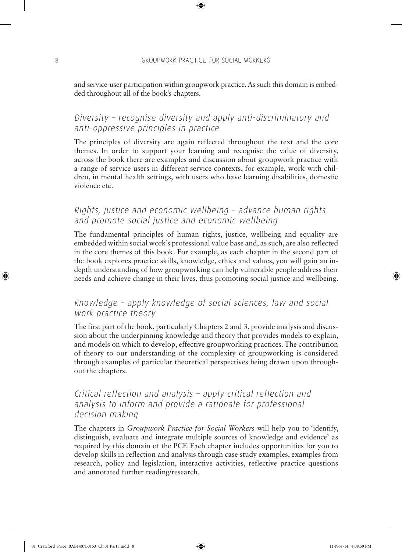⊕

and service-user participation within groupwork practice. As such this domain is embedded throughout all of the book's chapters.

#### Diversity – recognise diversity and apply anti-discriminatory and anti-oppressive principles in practice

The principles of diversity are again reflected throughout the text and the core themes. In order to support your learning and recognise the value of diversity, across the book there are examples and discussion about groupwork practice with a range of service users in different service contexts, for example, work with children, in mental health settings, with users who have learning disabilities, domestic violence etc.

#### Rights, justice and economic wellbeing – advance human rights and promote social justice and economic wellbeing

The fundamental principles of human rights, justice, wellbeing and equality are embedded within social work's professional value base and, as such, are also reflected in the core themes of this book. For example, as each chapter in the second part of the book explores practice skills, knowledge, ethics and values, you will gain an indepth understanding of how groupworking can help vulnerable people address their needs and achieve change in their lives, thus promoting social justice and wellbeing.

#### Knowledge – apply knowledge of social sciences, law and social work practice theory

The first part of the book, particularly Chapters 2 and 3, provide analysis and discussion about the underpinning knowledge and theory that provides models to explain, and models on which to develop, effective groupworking practices. The contribution of theory to our understanding of the complexity of groupworking is considered through examples of particular theoretical perspectives being drawn upon throughout the chapters.

#### Critical reflection and analysis – apply critical reflection and analysis to inform and provide a rationale for professional decision making

The chapters in *Groupwork Practice for Social Workers* will help you to 'identify, distinguish, evaluate and integrate multiple sources of knowledge and evidence' as required by this domain of the PCF. Each chapter includes opportunities for you to develop skills in reflection and analysis through case study examples, examples from research, policy and legislation, interactive activities, reflective practice questions and annotated further reading/research.

♠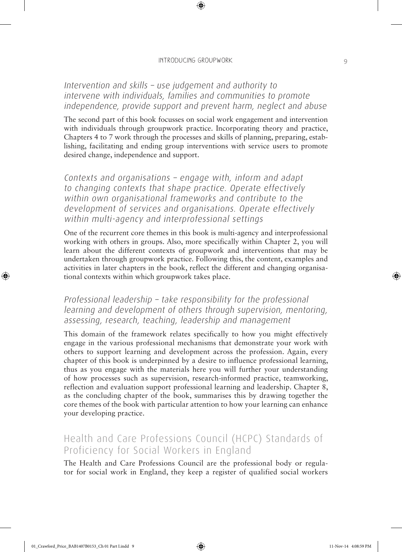⊕

#### Intervention and skills – use judgement and authority to intervene with individuals, families and communities to promote independence, provide support and prevent harm, neglect and abuse

The second part of this book focusses on social work engagement and intervention with individuals through groupwork practice. Incorporating theory and practice, Chapters 4 to 7 work through the processes and skills of planning, preparing, establishing, facilitating and ending group interventions with service users to promote desired change, independence and support.

Contexts and organisations – engage with, inform and adapt to changing contexts that shape practice. Operate effectively within own organisational frameworks and contribute to the development of services and organisations. Operate effectively within multi-agency and interprofessional settings

One of the recurrent core themes in this book is multi-agency and interprofessional working with others in groups. Also, more specifically within Chapter 2, you will learn about the different contexts of groupwork and interventions that may be undertaken through groupwork practice. Following this, the content, examples and activities in later chapters in the book, reflect the different and changing organisational contexts within which groupwork takes place.

#### Professional leadership – take responsibility for the professional learning and development of others through supervision, mentoring, assessing, research, teaching, leadership and management

This domain of the framework relates specifically to how you might effectively engage in the various professional mechanisms that demonstrate your work with others to support learning and development across the profession. Again, every chapter of this book is underpinned by a desire to influence professional learning, thus as you engage with the materials here you will further your understanding of how processes such as supervision, research-informed practice, teamworking, reflection and evaluation support professional learning and leadership. Chapter 8, as the concluding chapter of the book, summarises this by drawing together the core themes of the book with particular attention to how your learning can enhance your developing practice.

## Health and Care Professions Council (HCPC) Standards of Proficiency for Social Workers in England

The Health and Care Professions Council are the professional body or regulator for social work in England, they keep a register of qualified social workers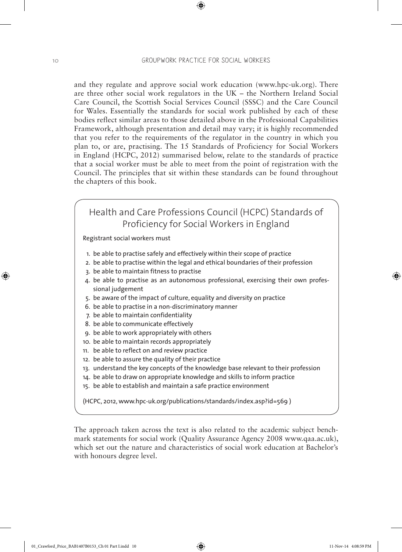⊕

and they regulate and approve social work education (www.hpc-uk.org). There are three other social work regulators in the UK – the Northern Ireland Social Care Council, the Scottish Social Services Council (SSSC) and the Care Council for Wales. Essentially the standards for social work published by each of these bodies reflect similar areas to those detailed above in the Professional Capabilities Framework, although presentation and detail may vary; it is highly recommended that you refer to the requirements of the regulator in the country in which you plan to, or are, practising. The 15 Standards of Proficiency for Social Workers in England (HCPC, 2012) summarised below, relate to the standards of practice that a social worker must be able to meet from the point of registration with the Council. The principles that sit within these standards can be found throughout the chapters of this book.

## Health and Care Professions Council (HCPC) Standards of Proficiency for Social Workers in England

Registrant social workers must

- 1. be able to practise safely and effectively within their scope of practice
- 2. be able to practise within the legal and ethical boundaries of their profession
- 3. be able to maintain fitness to practise
- 4. be able to practise as an autonomous professional, exercising their own professional judgement
- 5. be aware of the impact of culture, equality and diversity on practice
- 6. be able to practise in a non-discriminatory manner
- 7. be able to maintain confidentiality
- 8. be able to communicate effectively
- 9. be able to work appropriately with others
- 10. be able to maintain records appropriately
- 11. be able to reflect on and review practice
- 12. be able to assure the quality of their practice
- 13. understand the key concepts of the knowledge base relevant to their profession
- 14. be able to draw on appropriate knowledge and skills to inform practice
- 15. be able to establish and maintain a safe practice environment

(HCPC, 2012, www.hpc-uk.org/publications/standards/index.asp?id=569 )

The approach taken across the text is also related to the academic subject benchmark statements for social work (Quality Assurance Agency 2008 www.qaa.ac.uk), which set out the nature and characteristics of social work education at Bachelor's with honours degree level.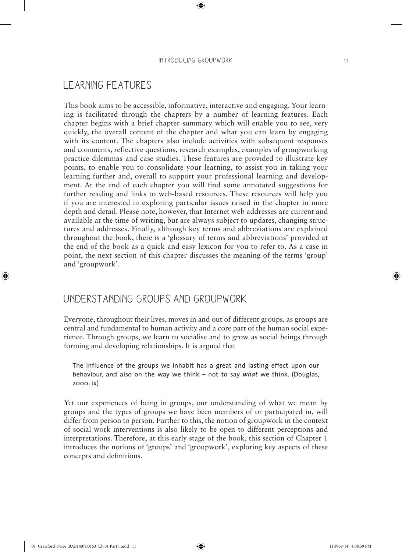⊕

## LEARNING FEATURES

This book aims to be accessible, informative, interactive and engaging. Your learning is facilitated through the chapters by a number of learning features. Each chapter begins with a brief chapter summary which will enable you to see, very quickly, the overall content of the chapter and what you can learn by engaging with its content. The chapters also include activities with subsequent responses and comments, reflective questions, research examples, examples of groupworking practice dilemmas and case studies. These features are provided to illustrate key points, to enable you to consolidate your learning, to assist you in taking your learning further and, overall to support your professional learning and development. At the end of each chapter you will find some annotated suggestions for further reading and links to web-based resources. These resources will help you if you are interested in exploring particular issues raised in the chapter in more depth and detail. Please note, however, that Internet web addresses are current and available at the time of writing, but are always subject to updates, changing structures and addresses. Finally, although key terms and abbreviations are explained throughout the book, there is a 'glossary of terms and abbreviations' provided at the end of the book as a quick and easy lexicon for you to refer to. As a case in point, the next section of this chapter discusses the meaning of the terms 'group' and 'groupwork'.

## UNDERSTANDING GROUPS AND GROUPWORK

Everyone, throughout their lives, moves in and out of different groups, as groups are central and fundamental to human activity and a core part of the human social experience. Through groups, we learn to socialise and to grow as social beings through forming and developing relationships. It is argued that

The influence of the groups we inhabit has a great and lasting effect upon our behaviour, and also on the way we think – not to say *what* we think. (Douglas, 2000: ix)

Yet our experiences of being in groups, our understanding of what we mean by groups and the types of groups we have been members of or participated in, will differ from person to person. Further to this, the notion of groupwork in the context of social work interventions is also likely to be open to different perceptions and interpretations. Therefore, at this early stage of the book, this section of Chapter 1 introduces the notions of 'groups' and 'groupwork', exploring key aspects of these concepts and definitions.

♠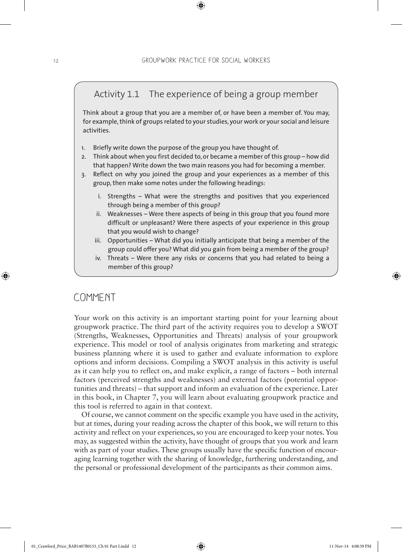⊕

## Activity 1.1 The experience of being a group member

Think about a group that you are a member of, or have been a member of. You may, for example, think of groups related to your studies, your work or your social and leisure activities.

- 1. Briefly write down the purpose of the group you have thought of.
- 2. Think about when you first decided to, or became a member of this group how did that happen? Write down the two main reasons you had for becoming a member.
- 3. Reflect on why you joined the group and your experiences as a member of this group, then make some notes under the following headings:
	- i. Strengths What were the strengths and positives that you experienced through being a member of this group?
	- ii. Weaknesses Were there aspects of being in this group that you found more difficult or unpleasant? Were there aspects of your experience in this group that you would wish to change?
	- iii. Opportunities What did you initially anticipate that being a member of the group could offer you? What did you gain from being a member of the group?
	- iv. Threats Were there any risks or concerns that you had related to being a member of this group?

#### COMMENT

Your work on this activity is an important starting point for your learning about groupwork practice. The third part of the activity requires you to develop a SWOT (Strengths, Weaknesses, Opportunities and Threats) analysis of your groupwork experience. This model or tool of analysis originates from marketing and strategic business planning where it is used to gather and evaluate information to explore options and inform decisions. Compiling a SWOT analysis in this activity is useful as it can help you to reflect on, and make explicit, a range of factors – both internal factors (perceived strengths and weaknesses) and external factors (potential opportunities and threats) – that support and inform an evaluation of the experience. Later in this book, in Chapter 7, you will learn about evaluating groupwork practice and this tool is referred to again in that context.

Of course, we cannot comment on the specific example you have used in the activity, but at times, during your reading across the chapter of this book, we will return to this activity and reflect on your experiences, so you are encouraged to keep your notes. You may, as suggested within the activity, have thought of groups that you work and learn with as part of your studies. These groups usually have the specific function of encouraging learning together with the sharing of knowledge, furthering understanding, and the personal or professional development of the participants as their common aims.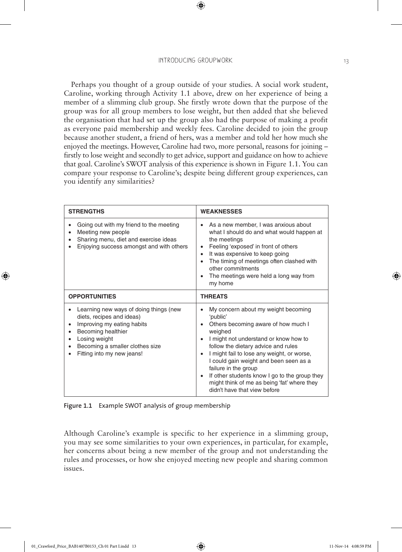$\textcircled{\scriptsize{*}}$ 

Perhaps you thought of a group outside of your studies. A social work student, Caroline, working through Activity 1.1 above, drew on her experience of being a member of a slimming club group. She firstly wrote down that the purpose of the group was for all group members to lose weight, but then added that she believed the organisation that had set up the group also had the purpose of making a profit as everyone paid membership and weekly fees. Caroline decided to join the group because another student, a friend of hers, was a member and told her how much she enjoyed the meetings. However, Caroline had two, more personal, reasons for joining – firstly to lose weight and secondly to get advice, support and guidance on how to achieve that goal. Caroline's SWOT analysis of this experience is shown in Figure 1.1. You can compare your response to Caroline's; despite being different group experiences, can you identify any similarities?

| <b>STRENGTHS</b>                                                                                                                                                                                          | <b>WEAKNESSES</b>                                                                                                                                                                                                                                                                                                                                                                                                                 |
|-----------------------------------------------------------------------------------------------------------------------------------------------------------------------------------------------------------|-----------------------------------------------------------------------------------------------------------------------------------------------------------------------------------------------------------------------------------------------------------------------------------------------------------------------------------------------------------------------------------------------------------------------------------|
| Going out with my friend to the meeting<br>Meeting new people<br>Sharing menu, diet and exercise ideas<br>Enjoying success amongst and with others                                                        | As a new member, I was anxious about<br>what I should do and what would happen at<br>the meetings<br>Feeling 'exposed' in front of others<br>٠<br>It was expensive to keep going<br>The timing of meetings often clashed with<br>other commitments<br>The meetings were held a long way from<br>my home                                                                                                                           |
| <b>OPPORTUNITIES</b>                                                                                                                                                                                      | <b>THREATS</b>                                                                                                                                                                                                                                                                                                                                                                                                                    |
| Learning new ways of doing things (new<br>diets, recipes and ideas)<br>Improving my eating habits<br>Becoming healthier<br>Losing weight<br>Becoming a smaller clothes size<br>Fitting into my new jeans! | My concern about my weight becoming<br>'public'<br>Others becoming aware of how much I<br>weighed<br>I might not understand or know how to<br>follow the dietary advice and rules<br>I might fail to lose any weight, or worse,<br>I could gain weight and been seen as a<br>failure in the group<br>If other students know I go to the group they<br>might think of me as being 'fat' where they<br>didn't have that view before |

**Figure 1.1** Example SWOT analysis of group membership

Although Caroline's example is specific to her experience in a slimming group, you may see some similarities to your own experiences, in particular, for example, her concerns about being a new member of the group and not understanding the rules and processes, or how she enjoyed meeting new people and sharing common issues.

⊕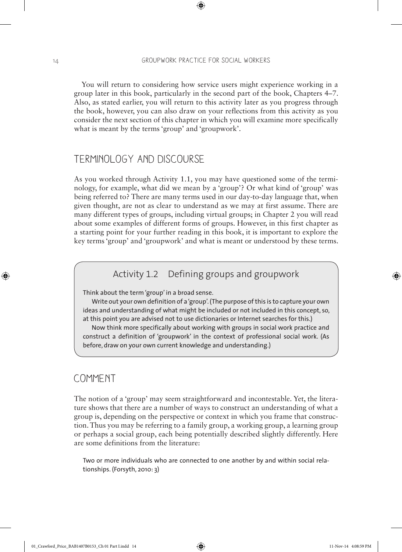⊕

You will return to considering how service users might experience working in a group later in this book, particularly in the second part of the book, Chapters 4–7. Also, as stated earlier, you will return to this activity later as you progress through the book, however, you can also draw on your reflections from this activity as you consider the next section of this chapter in which you will examine more specifically what is meant by the terms 'group' and 'groupwork'.

#### TERMINOLOGY AND DISCOURSE

As you worked through Activity 1.1, you may have questioned some of the terminology, for example, what did we mean by a 'group'? Or what kind of 'group' was being referred to? There are many terms used in our day-to-day language that, when given thought, are not as clear to understand as we may at first assume. There are many different types of groups, including virtual groups; in Chapter 2 you will read about some examples of different forms of groups. However, in this first chapter as a starting point for your further reading in this book, it is important to explore the key terms 'group' and 'groupwork' and what is meant or understood by these terms.

#### Activity 1.2 Defining groups and groupwork

Think about the term 'group' in a broad sense.

Write out your own definition of a 'group'. (The purpose of this is to capture your own ideas and understanding of what might be included or not included in this concept, so, at this point you are advised not to use dictionaries or Internet searches for this.)

Now think more specifically about working with groups in social work practice and construct a definition of 'groupwork' in the context of professional social work. (As before, draw on your own current knowledge and understanding.)

#### COMMENT

The notion of a 'group' may seem straightforward and incontestable. Yet, the literature shows that there are a number of ways to construct an understanding of what a group is, depending on the perspective or context in which you frame that construction. Thus you may be referring to a family group, a working group, a learning group or perhaps a social group, each being potentially described slightly differently. Here are some definitions from the literature:

Two or more individuals who are connected to one another by and within social relationships. (Forsyth, 2010: 3)

♠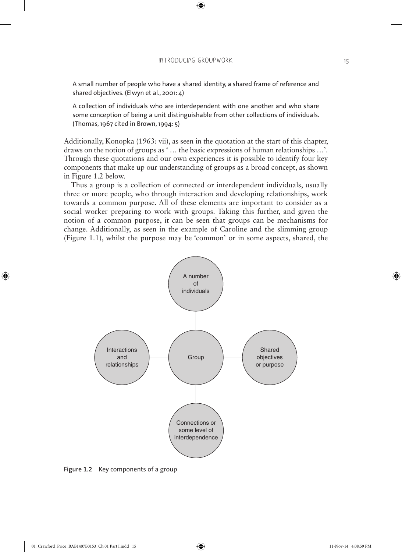$\bigoplus$ 

A small number of people who have a shared identity, a shared frame of reference and shared objectives. (Elwyn et al., 2001: 4)

A collection of individuals who are interdependent with one another and who share some conception of being a unit distinguishable from other collections of individuals. (Thomas, 1967 cited in Brown, 1994: 5)

Additionally, Konopka (1963: vii), as seen in the quotation at the start of this chapter, draws on the notion of groups as ' … the basic expressions of human relationships …'. Through these quotations and our own experiences it is possible to identify four key components that make up our understanding of groups as a broad concept, as shown in Figure 1.2 below.

Thus a group is a collection of connected or interdependent individuals, usually three or more people, who through interaction and developing relationships, work towards a common purpose. All of these elements are important to consider as a social worker preparing to work with groups. Taking this further, and given the notion of a common purpose, it can be seen that groups can be mechanisms for change. Additionally, as seen in the example of Caroline and the slimming group (Figure 1.1), whilst the purpose may be 'common' or in some aspects, shared, the



**Figure 1.2** Key components of a group

⊕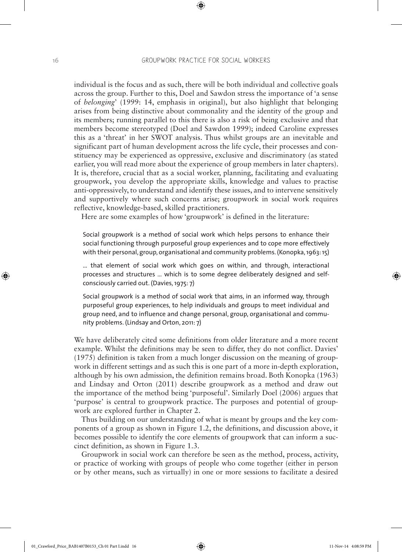$\textcircled{\scriptsize{*}}$ 

individual is the focus and as such, there will be both individual and collective goals across the group. Further to this, Doel and Sawdon stress the importance of 'a sense of *belonging*' (1999: 14, emphasis in original), but also highlight that belonging arises from being distinctive about commonality and the identity of the group and its members; running parallel to this there is also a risk of being exclusive and that members become stereotyped (Doel and Sawdon 1999); indeed Caroline expresses this as a 'threat' in her SWOT analysis. Thus whilst groups are an inevitable and significant part of human development across the life cycle, their processes and constituency may be experienced as oppressive, exclusive and discriminatory (as stated earlier, you will read more about the experience of group members in later chapters). It is, therefore, crucial that as a social worker, planning, facilitating and evaluating groupwork, you develop the appropriate skills, knowledge and values to practise anti-oppressively, to understand and identify these issues, and to intervene sensitively and supportively where such concerns arise; groupwork in social work requires reflective, knowledge-based, skilled practitioners.

Here are some examples of how 'groupwork' is defined in the literature:

Social groupwork is a method of social work which helps persons to enhance their social functioning through purposeful group experiences and to cope more effectively with their personal, group, organisational and community problems. (Konopka, 1963: 15)

… that element of social work which goes on within, and through, interactional processes and structures … which is to some degree deliberately designed and selfconsciously carried out. (Davies, 1975: 7)

Social groupwork is a method of social work that aims, in an informed way, through purposeful group experiences, to help individuals and groups to meet individual and group need, and to influence and change personal, group, organisational and community problems. (Lindsay and Orton, 2011: 7)

We have deliberately cited some definitions from older literature and a more recent example. Whilst the definitions may be seen to differ, they do not conflict. Davies' (1975) definition is taken from a much longer discussion on the meaning of groupwork in different settings and as such this is one part of a more in-depth exploration, although by his own admission, the definition remains broad. Both Konopka (1963) and Lindsay and Orton (2011) describe groupwork as a method and draw out the importance of the method being 'purposeful'. Similarly Doel (2006) argues that 'purpose' is central to groupwork practice. The purposes and potential of groupwork are explored further in Chapter 2.

Thus building on our understanding of what is meant by groups and the key components of a group as shown in Figure 1.2, the definitions, and discussion above, it becomes possible to identify the core elements of groupwork that can inform a succinct definition, as shown in Figure 1.3.

Groupwork in social work can therefore be seen as the method, process, activity, or practice of working with groups of people who come together (either in person or by other means, such as virtually) in one or more sessions to facilitate a desired

♠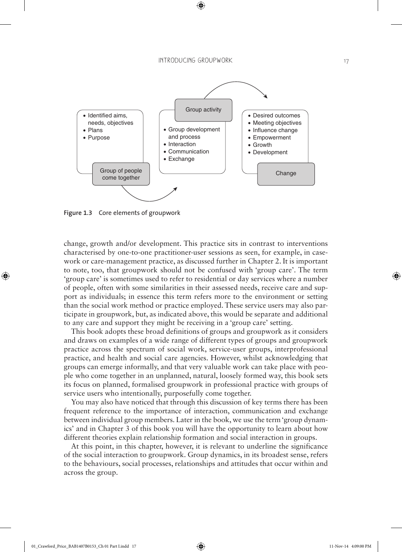⊕



**Figure 1.3** Core elements of groupwork

♠

change, growth and/or development. This practice sits in contrast to interventions characterised by one-to-one practitioner-user sessions as seen, for example, in casework or care-management practice, as discussed further in Chapter 2. It is important to note, too, that groupwork should not be confused with 'group care'. The term 'group care' is sometimes used to refer to residential or day services where a number of people, often with some similarities in their assessed needs, receive care and support as individuals; in essence this term refers more to the environment or setting than the social work method or practice employed. These service users may also participate in groupwork, but, as indicated above, this would be separate and additional to any care and support they might be receiving in a 'group care' setting.

This book adopts these broad definitions of groups and groupwork as it considers and draws on examples of a wide range of different types of groups and groupwork practice across the spectrum of social work, service-user groups, interprofessional practice, and health and social care agencies. However, whilst acknowledging that groups can emerge informally, and that very valuable work can take place with people who come together in an unplanned, natural, loosely formed way, this book sets its focus on planned, formalised groupwork in professional practice with groups of service users who intentionally, purposefully come together.

You may also have noticed that through this discussion of key terms there has been frequent reference to the importance of interaction, communication and exchange between individual group members. Later in the book, we use the term 'group dynamics' and in Chapter 3 of this book you will have the opportunity to learn about how different theories explain relationship formation and social interaction in groups.

At this point, in this chapter, however, it is relevant to underline the significance of the social interaction to groupwork. Group dynamics, in its broadest sense, refers to the behaviours, social processes, relationships and attitudes that occur within and across the group.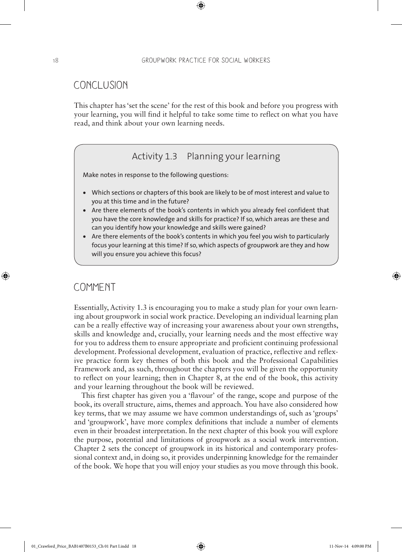⊕

#### **CONCLUSION**

This chapter has 'set the scene' for the rest of this book and before you progress with your learning, you will find it helpful to take some time to reflect on what you have read, and think about your own learning needs.

## Activity 1.3 Planning your learning

Make notes in response to the following questions:

- Which sections or chapters of this book are likely to be of most interest and value to you at this time and in the future?
- Are there elements of the book's contents in which you already feel confident that you have the core knowledge and skills for practice? If so, which areas are these and can you identify how your knowledge and skills were gained?
- Are there elements of the book's contents in which you feel you wish to particularly focus your learning at this time? If so, which aspects of groupwork are they and how will you ensure you achieve this focus?

#### COMMENT

♠

Essentially, Activity 1.3 is encouraging you to make a study plan for your own learning about groupwork in social work practice. Developing an individual learning plan can be a really effective way of increasing your awareness about your own strengths, skills and knowledge and, crucially, your learning needs and the most effective way for you to address them to ensure appropriate and proficient continuing professional development. Professional development, evaluation of practice, reflective and reflexive practice form key themes of both this book and the Professional Capabilities Framework and, as such, throughout the chapters you will be given the opportunity to reflect on your learning; then in Chapter 8, at the end of the book, this activity and your learning throughout the book will be reviewed.

This first chapter has given you a 'flavour' of the range, scope and purpose of the book, its overall structure, aims, themes and approach. You have also considered how key terms, that we may assume we have common understandings of, such as 'groups' and 'groupwork', have more complex definitions that include a number of elements even in their broadest interpretation. In the next chapter of this book you will explore the purpose, potential and limitations of groupwork as a social work intervention. Chapter 2 sets the concept of groupwork in its historical and contemporary professional context and, in doing so, it provides underpinning knowledge for the remainder of the book. We hope that you will enjoy your studies as you move through this book.